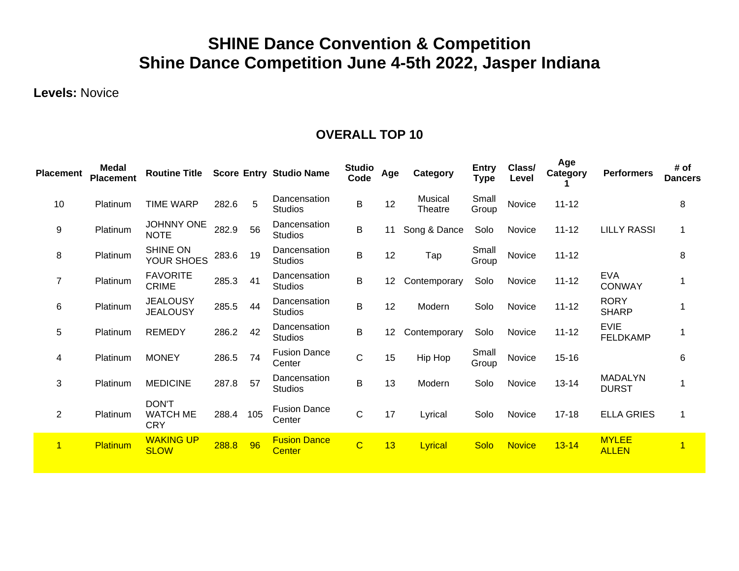# **SHINE Dance Convention & Competition Shine Dance Competition June 4-5th 2022, Jasper Indiana**

**Levels:** Novice

| <b>Placement</b> | Medal<br><b>Placement</b> | <b>Routine Title</b>                          |       |     | <b>Score Entry Studio Name</b>       | <b>Studio</b><br>Code | Age | Category                  | <b>Entry</b><br><b>Type</b> | Class/<br>Level | Age<br>Category | <b>Performers</b>              | # of<br><b>Dancers</b> |
|------------------|---------------------------|-----------------------------------------------|-------|-----|--------------------------------------|-----------------------|-----|---------------------------|-----------------------------|-----------------|-----------------|--------------------------------|------------------------|
| 10               | Platinum                  | <b>TIME WARP</b>                              | 282.6 | 5   | Dancensation<br><b>Studios</b>       | B                     | 12  | <b>Musical</b><br>Theatre | Small<br>Group              | Novice          | $11 - 12$       |                                | 8                      |
| 9                | Platinum                  | <b>JOHNNY ONE</b><br><b>NOTE</b>              | 282.9 | 56  | Dancensation<br><b>Studios</b>       | B                     | 11  | Song & Dance              | Solo                        | Novice          | $11 - 12$       | <b>LILLY RASSI</b>             |                        |
| 8                | Platinum                  | <b>SHINE ON</b><br>YOUR SHOES                 | 283.6 | 19  | Dancensation<br><b>Studios</b>       | B                     | 12  | Tap                       | Small<br>Group              | Novice          | $11 - 12$       |                                | 8                      |
| $\overline{7}$   | Platinum                  | <b>FAVORITE</b><br><b>CRIME</b>               | 285.3 | 41  | Dancensation<br><b>Studios</b>       | B                     | 12  | Contemporary              | Solo                        | Novice          | $11 - 12$       | <b>EVA</b><br><b>CONWAY</b>    |                        |
| 6                | Platinum                  | <b>JEALOUSY</b><br><b>JEALOUSY</b>            | 285.5 | 44  | Dancensation<br><b>Studios</b>       | B                     | 12  | Modern                    | Solo                        | Novice          | $11 - 12$       | <b>RORY</b><br><b>SHARP</b>    |                        |
| 5                | Platinum                  | <b>REMEDY</b>                                 | 286.2 | 42  | Dancensation<br><b>Studios</b>       | B                     | 12  | Contemporary              | Solo                        | Novice          | $11 - 12$       | <b>EVIE</b><br><b>FELDKAMP</b> |                        |
| 4                | Platinum                  | <b>MONEY</b>                                  | 286.5 | 74  | <b>Fusion Dance</b><br>Center        | $\mathsf C$           | 15  | Hip Hop                   | Small<br>Group              | Novice          | $15 - 16$       |                                | 6                      |
| 3                | Platinum                  | <b>MEDICINE</b>                               | 287.8 | 57  | Dancensation<br><b>Studios</b>       | B                     | 13  | Modern                    | Solo                        | Novice          | $13 - 14$       | <b>MADALYN</b><br><b>DURST</b> |                        |
| 2                | Platinum                  | <b>DON'T</b><br><b>WATCH ME</b><br><b>CRY</b> | 288.4 | 105 | <b>Fusion Dance</b><br>Center        | $\mathsf C$           | 17  | Lyrical                   | Solo                        | Novice          | $17 - 18$       | <b>ELLA GRIES</b>              | 1                      |
| $\mathbf{1}$     | Platinum                  | <b>WAKING UP</b><br><b>SLOW</b>               | 288.8 | 96  | <b>Fusion Dance</b><br><b>Center</b> | $\mathbf C$           | 13  | Lyrical                   | Solo                        | <b>Novice</b>   | $13 - 14$       | <b>MYLEE</b><br><b>ALLEN</b>   | $\overline{1}$         |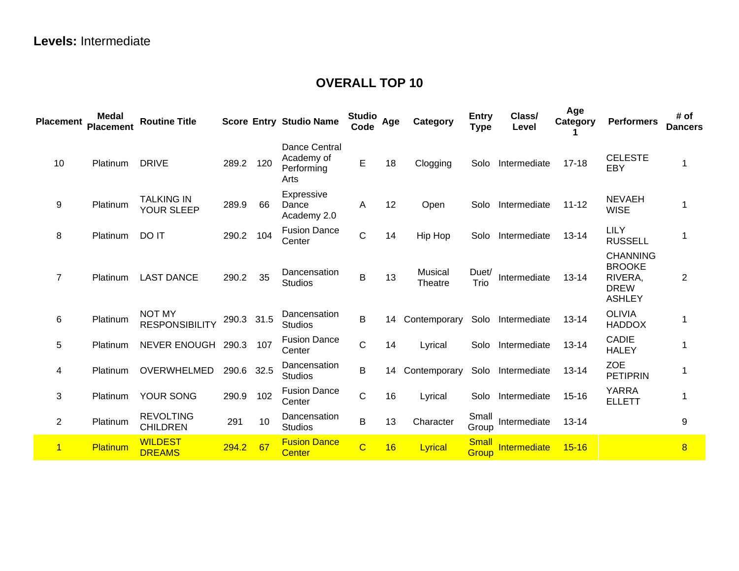| <b>Placement</b> | Medal<br><b>Placement</b> | <b>Routine Title</b>                   |       |      | <b>Score Entry Studio Name</b>                    | <b>Studio</b><br>Code | Age | Category                  | <b>Entry</b><br><b>Type</b> | Class/<br>Level   | Age<br>Category | <b>Performers</b>                                                           | # of<br><b>Dancers</b> |
|------------------|---------------------------|----------------------------------------|-------|------|---------------------------------------------------|-----------------------|-----|---------------------------|-----------------------------|-------------------|-----------------|-----------------------------------------------------------------------------|------------------------|
| 10               | Platinum                  | <b>DRIVE</b>                           | 289.2 | 120  | Dance Central<br>Academy of<br>Performing<br>Arts | E                     | 18  | Clogging                  | Solo                        | Intermediate      | $17 - 18$       | <b>CELESTE</b><br>EBY                                                       | $\mathbf 1$            |
| 9                | Platinum                  | <b>TALKING IN</b><br><b>YOUR SLEEP</b> | 289.9 | 66   | Expressive<br>Dance<br>Academy 2.0                | A                     | 12  | Open                      | Solo                        | Intermediate      | $11 - 12$       | <b>NEVAEH</b><br><b>WISE</b>                                                | 1                      |
| 8                | Platinum                  | DO IT                                  | 290.2 | 104  | <b>Fusion Dance</b><br>Center                     | $\mathsf C$           | 14  | Hip Hop                   | Solo                        | Intermediate      | $13 - 14$       | <b>LILY</b><br><b>RUSSELL</b>                                               |                        |
| $\overline{7}$   | Platinum                  | <b>LAST DANCE</b>                      | 290.2 | 35   | Dancensation<br><b>Studios</b>                    | $\mathsf B$           | 13  | <b>Musical</b><br>Theatre | Duet/<br>Trio               | Intermediate      | $13 - 14$       | <b>CHANNING</b><br><b>BROOKE</b><br>RIVERA,<br><b>DREW</b><br><b>ASHLEY</b> | $\overline{2}$         |
| $\,6$            | Platinum                  | <b>NOT MY</b><br><b>RESPONSIBILITY</b> | 290.3 | 31.5 | Dancensation<br><b>Studios</b>                    | B                     | 14  | Contemporary              | Solo                        | Intermediate      | $13 - 14$       | <b>OLIVIA</b><br><b>HADDOX</b>                                              |                        |
| 5                | Platinum                  | NEVER ENOUGH                           | 290.3 | 107  | <b>Fusion Dance</b><br>Center                     | $\mathsf C$           | 14  | Lyrical                   | Solo                        | Intermediate      | $13 - 14$       | <b>CADIE</b><br><b>HALEY</b>                                                |                        |
| 4                | Platinum                  | OVERWHELMED                            | 290.6 | 32.5 | Dancensation<br><b>Studios</b>                    | B                     | 14  | Contemporary              | Solo                        | Intermediate      | $13 - 14$       | <b>ZOE</b><br><b>PETIPRIN</b>                                               | 1                      |
| 3                | Platinum                  | YOUR SONG                              | 290.9 | 102  | <b>Fusion Dance</b><br>Center                     | $\mathsf{C}$          | 16  | Lyrical                   |                             | Solo Intermediate | $15 - 16$       | <b>YARRA</b><br><b>ELLETT</b>                                               |                        |
| $\overline{2}$   | Platinum                  | <b>REVOLTING</b><br><b>CHILDREN</b>    | 291   | 10   | Dancensation<br><b>Studios</b>                    | B                     | 13  | Character                 | Small<br>Group              | Intermediate      | $13 - 14$       |                                                                             | 9                      |
| $\overline{1}$   | <b>Platinum</b>           | <b>WILDEST</b><br><b>DREAMS</b>        | 294.2 | 67   | <b>Fusion Dance</b><br><b>Center</b>              | $\overline{C}$        | 16  | Lyrical                   | <b>Small</b><br>Group       | Intermediate      | $15 - 16$       |                                                                             | $\overline{8}$         |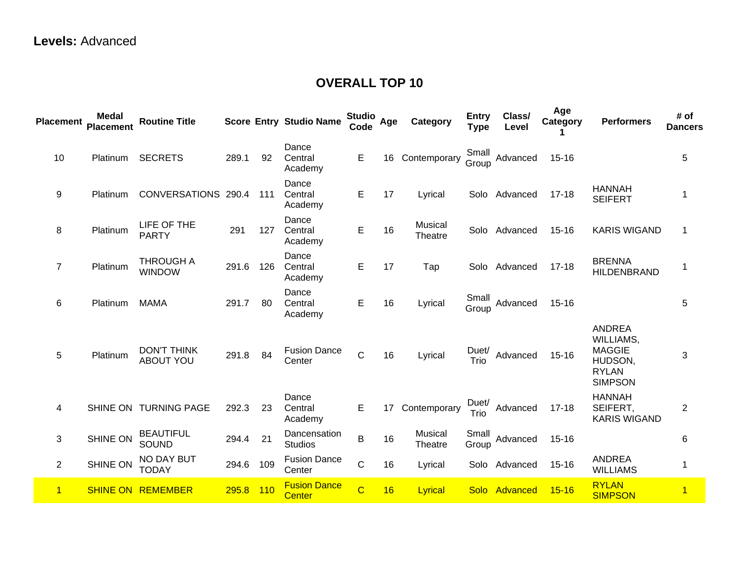| <b>Placement</b> | Medal<br><b>Placement</b> | <b>Routine Title</b>                   |       |     | <b>Score Entry Studio Name</b>       | <b>Studio</b><br>Code | Age | Category           | <b>Entry</b><br><b>Type</b> | Class/<br>Level | Age<br>Category | <b>Performers</b>                                                                 | # of<br><b>Dancers</b> |
|------------------|---------------------------|----------------------------------------|-------|-----|--------------------------------------|-----------------------|-----|--------------------|-----------------------------|-----------------|-----------------|-----------------------------------------------------------------------------------|------------------------|
| 10               | Platinum                  | <b>SECRETS</b>                         | 289.1 | 92  | Dance<br>Central<br>Academy          | E                     | 16  | Contemporary       | Small<br>Group              | Advanced        | $15 - 16$       |                                                                                   | 5                      |
| 9                | Platinum                  | CONVERSATIONS 290.4                    |       | 111 | Dance<br>Central<br>Academy          | E                     | 17  | Lyrical            |                             | Solo Advanced   | $17 - 18$       | <b>HANNAH</b><br><b>SEIFERT</b>                                                   | 1                      |
| 8                | Platinum                  | LIFE OF THE<br><b>PARTY</b>            | 291   | 127 | Dance<br>Central<br>Academy          | E                     | 16  | Musical<br>Theatre |                             | Solo Advanced   | $15 - 16$       | <b>KARIS WIGAND</b>                                                               | 1                      |
| $\overline{7}$   | Platinum                  | <b>THROUGH A</b><br><b>WINDOW</b>      | 291.6 | 126 | Dance<br>Central<br>Academy          | E                     | 17  | Tap                |                             | Solo Advanced   | $17 - 18$       | <b>BRENNA</b><br><b>HILDENBRAND</b>                                               | 1                      |
| 6                | Platinum                  | <b>MAMA</b>                            | 291.7 | 80  | Dance<br>Central<br>Academy          | E                     | 16  | Lyrical            | Small<br>Group              | Advanced        | $15 - 16$       |                                                                                   | $\overline{5}$         |
| 5                | Platinum                  | <b>DON'T THINK</b><br><b>ABOUT YOU</b> | 291.8 | 84  | <b>Fusion Dance</b><br>Center        | $\mathsf{C}$          | 16  | Lyrical            | Duet/<br>Trio               | Advanced        | $15 - 16$       | ANDREA<br>WILLIAMS,<br><b>MAGGIE</b><br>HUDSON,<br><b>RYLAN</b><br><b>SIMPSON</b> | $\mathbf{3}$           |
| 4                |                           | SHINE ON TURNING PAGE                  | 292.3 | 23  | Dance<br>Central<br>Academy          | Е                     | 17  | Contemporary       | Duet/<br>Trio               | Advanced        | $17 - 18$       | <b>HANNAH</b><br>SEIFERT,<br><b>KARIS WIGAND</b>                                  | $\overline{2}$         |
| 3                | <b>SHINE ON</b>           | <b>BEAUTIFUL</b><br>SOUND              | 294.4 | 21  | Dancensation<br><b>Studios</b>       | B                     | 16  | Musical<br>Theatre | Small<br>Group              | Advanced        | $15 - 16$       |                                                                                   | $\,6$                  |
| $\overline{2}$   | <b>SHINE ON</b>           | <b>NO DAY BUT</b><br><b>TODAY</b>      | 294.6 | 109 | <b>Fusion Dance</b><br>Center        | $\mathsf C$           | 16  | Lyrical            |                             | Solo Advanced   | $15 - 16$       | <b>ANDREA</b><br><b>WILLIAMS</b>                                                  | $\overline{1}$         |
| $\mathbf{1}$     |                           | <b>SHINE ON REMEMBER</b>               | 295.8 | 110 | <b>Fusion Dance</b><br><b>Center</b> | $\overline{C}$        | 16  | Lyrical            |                             | Solo Advanced   | $15 - 16$       | <b>RYLAN</b><br><b>SIMPSON</b>                                                    | $\overline{1}$         |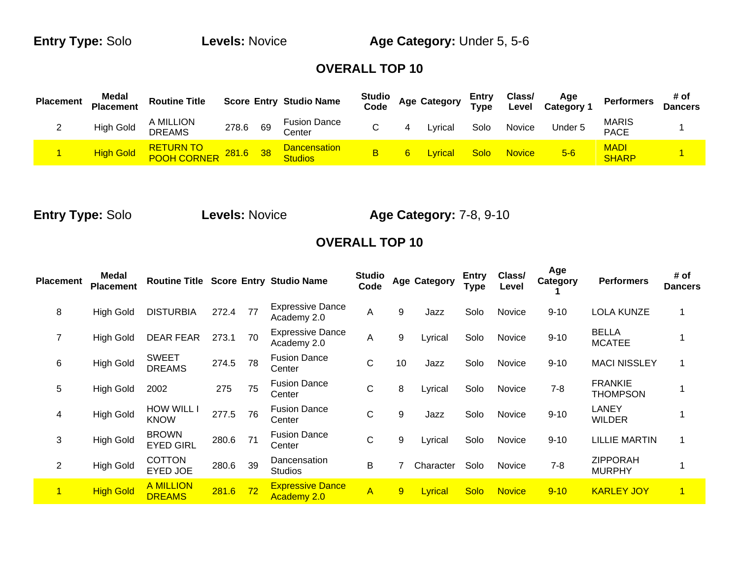**Entry Type:** Solo **Levels:** Novice **Age Category:** Under 5, 5-6

#### **OVERALL TOP 10**

| <b>Placement</b> | Medal<br><b>Placement</b> | <b>Routine Title</b>       |          |    | <b>Score Entry Studio Name</b>        | <b>Studio</b><br>Code | <b>Age Category</b> | Entry<br>Type | Class/<br>Level | Age<br>Category <sup>-</sup> | <b>Performers</b>           | # of<br><b>Dancers</b> |
|------------------|---------------------------|----------------------------|----------|----|---------------------------------------|-----------------------|---------------------|---------------|-----------------|------------------------------|-----------------------------|------------------------|
| <u>_</u>         | <b>High Gold</b>          | A MILLION<br><b>DREAMS</b> | 278.6    | 69 | <b>Fusion Dance</b><br>Center         |                       | Lvrical             | Solo          | Novice          | Under 5                      | <b>MARIS</b><br><b>PACE</b> |                        |
|                  | <b>High Gold</b>          | RETURN TO<br>POOH CORNER   | 281.6 38 |    | <b>Dancensation</b><br><b>Studios</b> | В                     | <u>-vrical</u>      | <b>Solo</b>   | <b>Novice</b>   | $5-6$                        | MADI<br><b>SHARP</b>        |                        |

**Entry Type:** Solo **Levels:** Novice **Age Category:** 7-8, 9-10

| <b>Placement</b> | Medal<br><b>Placement</b> | <b>Routine Title</b>              |       |    | <b>Score Entry Studio Name</b>                | <b>Studio</b><br>Code |    | <b>Age Category</b> | <b>Entry</b><br><b>Type</b> | Class/<br>Level | Age<br>Category | <b>Performers</b>                 | # of<br><b>Dancers</b> |
|------------------|---------------------------|-----------------------------------|-------|----|-----------------------------------------------|-----------------------|----|---------------------|-----------------------------|-----------------|-----------------|-----------------------------------|------------------------|
| 8                | <b>High Gold</b>          | <b>DISTURBIA</b>                  | 272.4 | 77 | <b>Expressive Dance</b><br>Academy 2.0        | A                     | 9  | Jazz                | Solo                        | Novice          | $9 - 10$        | <b>LOLA KUNZE</b>                 | 1                      |
| $\overline{7}$   | <b>High Gold</b>          | <b>DEAR FEAR</b>                  | 273.1 | 70 | <b>Expressive Dance</b><br>Academy 2.0        | A                     | 9  | Lyrical             | Solo                        | Novice          | $9 - 10$        | <b>BELLA</b><br><b>MCATEE</b>     |                        |
| 6                | <b>High Gold</b>          | <b>SWEET</b><br><b>DREAMS</b>     | 274.5 | 78 | <b>Fusion Dance</b><br>Center                 | C                     | 10 | Jazz                | Solo                        | Novice          | $9 - 10$        | <b>MACI NISSLEY</b>               | 1                      |
| 5                | <b>High Gold</b>          | 2002                              | 275   | 75 | <b>Fusion Dance</b><br>Center                 | C                     | 8  | Lyrical             | Solo                        | Novice          | $7 - 8$         | <b>FRANKIE</b><br><b>THOMPSON</b> |                        |
| 4                | <b>High Gold</b>          | <b>HOW WILL I</b><br><b>KNOW</b>  | 277.5 | 76 | <b>Fusion Dance</b><br>Center                 | C                     | 9  | Jazz                | Solo                        | Novice          | $9 - 10$        | <b>LANEY</b><br><b>WILDER</b>     |                        |
| 3                | <b>High Gold</b>          | <b>BROWN</b><br><b>EYED GIRL</b>  | 280.6 | 71 | <b>Fusion Dance</b><br>Center                 | С                     | 9  | Lyrical             | Solo                        | Novice          | $9 - 10$        | <b>LILLIE MARTIN</b>              | 1                      |
| $\overline{2}$   | <b>High Gold</b>          | <b>COTTON</b><br>EYED JOE         | 280.6 | 39 | Dancensation<br><b>Studios</b>                | B                     |    | Character           | Solo                        | Novice          | $7 - 8$         | <b>ZIPPORAH</b><br><b>MURPHY</b>  |                        |
| $\overline{1}$   | <b>High Gold</b>          | <b>A MILLION</b><br><b>DREAMS</b> | 281.6 | 72 | <b>Expressive Dance</b><br><b>Academy 2.0</b> | $\overline{A}$        | 9  | Lyrical             | <b>Solo</b>                 | <b>Novice</b>   | $9 - 10$        | <b>KARLEY JOY</b>                 | 1                      |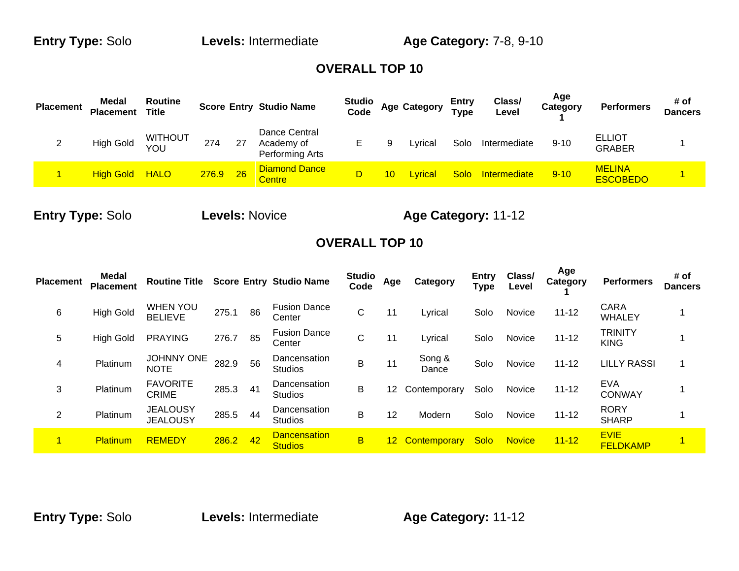**Entry Type:** Solo **Levels:** Intermediate **Age Category:** 7-8, 9-10

#### **OVERALL TOP 10**

| <b>Placement</b> | Medal<br><b>Placement</b> | <b>Routine</b><br><b>Title</b> |       |    | <b>Score Entry Studio Name</b>                 | <b>Studio</b><br>Code |   | <b>Age Category</b> | <b>Entry</b><br><b>Type</b> | Class/<br>Level     | Age<br>Category | <b>Performers</b>                | # of<br><b>Dancers</b> |
|------------------|---------------------------|--------------------------------|-------|----|------------------------------------------------|-----------------------|---|---------------------|-----------------------------|---------------------|-----------------|----------------------------------|------------------------|
|                  | High Gold                 | <b>WITHOUT</b><br>YOU          | 274   | 27 | Dance Central<br>Academy of<br>Performing Arts |                       | 9 | Lyrical             | Solo                        | Intermediate        | 9-10            | <b>ELLIOT</b><br><b>GRABER</b>   |                        |
|                  | <b>High Gold</b>          | <b>HALO</b>                    | 276.9 | 26 | <b>Diamond Dance</b><br><b>Centre</b>          | D                     |   | Lyrical             | <b>Solo</b>                 | <b>Intermediate</b> | $9 - 10$        | <b>MELINA</b><br><b>ESCOBEDO</b> |                        |

**Entry Type:** Solo **Levels:** Novice **Age Category:** 11-12

| <b>Placement</b> | <b>Medal</b><br><b>Placement</b> | <b>Routine Title</b>               |       |    | <b>Score Entry Studio Name</b>        | <b>Studio</b><br>Code | Age             | Category        | <b>Entry</b><br><b>Type</b> | Class/<br>Level | Age<br>Category | <b>Performers</b>              | # of<br><b>Dancers</b> |
|------------------|----------------------------------|------------------------------------|-------|----|---------------------------------------|-----------------------|-----------------|-----------------|-----------------------------|-----------------|-----------------|--------------------------------|------------------------|
| 6                | <b>High Gold</b>                 | <b>WHEN YOU</b><br><b>BELIEVE</b>  | 275.1 | 86 | <b>Fusion Dance</b><br>Center         | С                     | 11              | Lyrical         | Solo                        | Novice          | $11 - 12$       | <b>CARA</b><br><b>WHALEY</b>   |                        |
| 5                | <b>High Gold</b>                 | <b>PRAYING</b>                     | 276.7 | 85 | <b>Fusion Dance</b><br>Center         | С                     | 11              | Lyrical         | Solo                        | Novice          | $11 - 12$       | <b>TRINITY</b><br><b>KING</b>  |                        |
| 4                | Platinum                         | <b>JOHNNY ONE</b><br><b>NOTE</b>   | 282.9 | 56 | Dancensation<br><b>Studios</b>        | B                     | 11              | Song &<br>Dance | Solo                        | Novice          | $11 - 12$       | <b>LILLY RASSI</b>             |                        |
| 3                | Platinum                         | <b>FAVORITE</b><br><b>CRIME</b>    | 285.3 | 41 | Dancensation<br><b>Studios</b>        | B                     | 12 <sup>°</sup> | Contemporary    | Solo                        | Novice          | $11 - 12$       | <b>EVA</b><br><b>CONWAY</b>    |                        |
| $\overline{2}$   | Platinum                         | <b>JEALOUSY</b><br><b>JEALOUSY</b> | 285.5 | 44 | Dancensation<br><b>Studios</b>        | B                     | 12              | Modern          | Solo                        | Novice          | $11 - 12$       | <b>RORY</b><br><b>SHARP</b>    |                        |
| 1                | Platinum                         | <b>REMEDY</b>                      | 286.2 | 42 | <b>Dancensation</b><br><b>Studios</b> | B                     |                 | 12 Contemporary | Solo                        | <b>Novice</b>   | $11 - 12$       | <b>EVIE</b><br><b>FELDKAMP</b> |                        |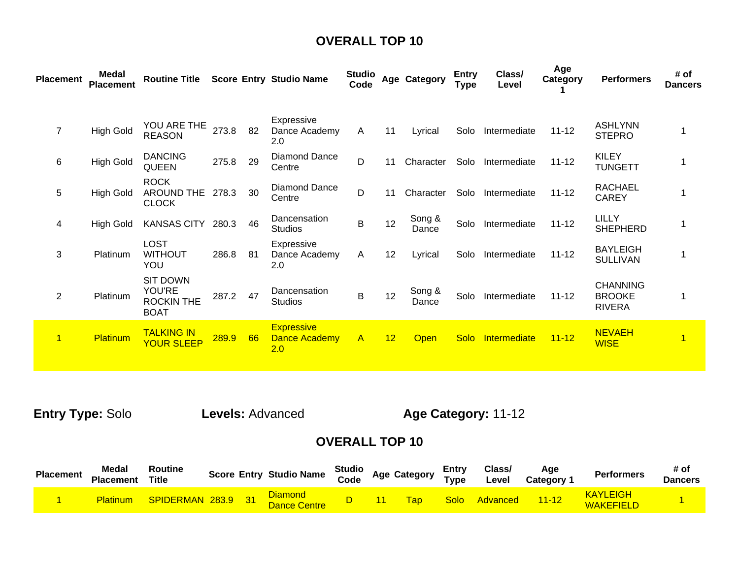| <b>Placement</b>     | <b>Medal</b><br><b>Placement</b> | <b>Routine Title</b>                                                 |       |    | <b>Score Entry Studio Name</b>            | <b>Studio</b><br>Code |    | Age Category    | <b>Entry</b><br><b>Type</b> | Class/<br>Level | Age<br>Category | <b>Performers</b>                                 | # of<br><b>Dancers</b>  |
|----------------------|----------------------------------|----------------------------------------------------------------------|-------|----|-------------------------------------------|-----------------------|----|-----------------|-----------------------------|-----------------|-----------------|---------------------------------------------------|-------------------------|
|                      |                                  |                                                                      |       |    |                                           |                       |    |                 |                             |                 |                 |                                                   |                         |
| $\overline{7}$       | <b>High Gold</b>                 | YOU ARE THE<br><b>REASON</b>                                         | 273.8 | 82 | Expressive<br>Dance Academy<br>2.0        | A                     | 11 | Lyrical         | Solo                        | Intermediate    | $11 - 12$       | <b>ASHLYNN</b><br><b>STEPRO</b>                   |                         |
| 6                    | <b>High Gold</b>                 | <b>DANCING</b><br>QUEEN                                              | 275.8 | 29 | Diamond Dance<br>Centre                   | D                     | 11 | Character       | Solo                        | Intermediate    | $11 - 12$       | <b>KILEY</b><br><b>TUNGETT</b>                    |                         |
| 5                    | <b>High Gold</b>                 | <b>ROCK</b><br>AROUND THE<br><b>CLOCK</b>                            | 278.3 | 30 | Diamond Dance<br>Centre                   | D                     | 11 | Character       | Solo                        | Intermediate    | $11 - 12$       | <b>RACHAEL</b><br><b>CAREY</b>                    |                         |
| 4                    | <b>High Gold</b>                 | <b>KANSAS CITY</b>                                                   | 280.3 | 46 | Dancensation<br><b>Studios</b>            | B                     | 12 | Song &<br>Dance | Solo                        | Intermediate    | $11 - 12$       | <b>LILLY</b><br><b>SHEPHERD</b>                   |                         |
| 3                    | Platinum                         | <b>LOST</b><br><b>WITHOUT</b><br>YOU                                 | 286.8 | 81 | Expressive<br>Dance Academy<br>2.0        | A                     | 12 | Lyrical         | Solo                        | Intermediate    | $11 - 12$       | <b>BAYLEIGH</b><br><b>SULLIVAN</b>                |                         |
| $\overline{2}$       | Platinum                         | <b>SIT DOWN</b><br><b>YOU'RE</b><br><b>ROCKIN THE</b><br><b>BOAT</b> | 287.2 | 47 | Dancensation<br><b>Studios</b>            | B                     | 12 | Song &<br>Dance | Solo                        | Intermediate    | $11 - 12$       | <b>CHANNING</b><br><b>BROOKE</b><br><b>RIVERA</b> |                         |
| $\blacktriangleleft$ | Platinum                         | <b>TALKING IN</b><br><b>YOUR SLEEP</b>                               | 289.9 | 66 | <b>Expressive</b><br>Dance Academy<br>2.0 | $\mathsf{A}$          | 12 | <b>Open</b>     | Solo                        | Intermediate    | $11 - 12$       | <b>NEVAEH</b><br><b>WISE</b>                      | $\overline{\mathbf{1}}$ |

**Entry Type:** Solo **Levels:** Advanced **Age Category:** 11-12

| <b>Placement</b> | <b>Medal</b><br><b>Placement</b> | Routine<br><b>Title</b> |  | <b>Score Entry Studio Name</b> | Studio<br>Code | <b>Age Category</b> | Entry<br>$T$ <sub>Vpe</sub> | Class/<br>Level | Aqe<br><b>Category</b> | <b>Performers</b>            | # of<br><b>Dancers</b> |
|------------------|----------------------------------|-------------------------|--|--------------------------------|----------------|---------------------|-----------------------------|-----------------|------------------------|------------------------------|------------------------|
|                  | <b>Platinum</b>                  | SPIDERMAN 283.9 31      |  | Diamond<br><b>Dance Centre</b> |                | <b>Tap</b>          | <b>Solo</b>                 | Advanced        | $11 - 12$              | <b>KAYLEIGH</b><br>WAKEFIELD |                        |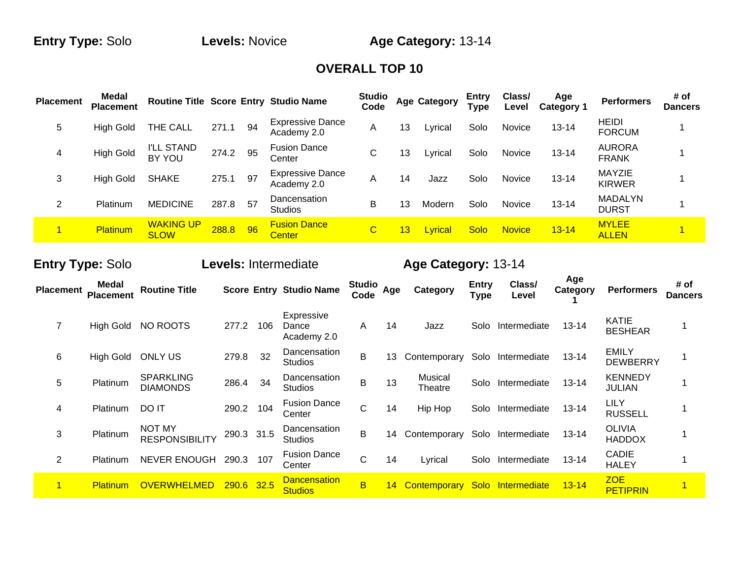**Entry Type:** Solo **Levels:** Novice **Age Category:** 13-14

#### **OVERALL TOP 10**

| <b>Placement</b> | <b>Medal</b><br><b>Placement</b> |                                 |       |    | Routine Title Score Entry Studio Name  | <b>Studio</b><br>Code |    | <b>Age Category</b> | Entry<br><b>Type</b> | Class/<br>Level | Age<br><b>Category 1</b> | <b>Performers</b>              | # of<br><b>Dancers</b> |
|------------------|----------------------------------|---------------------------------|-------|----|----------------------------------------|-----------------------|----|---------------------|----------------------|-----------------|--------------------------|--------------------------------|------------------------|
| 5                | <b>High Gold</b>                 | THE CALL                        | 271.1 | 94 | <b>Expressive Dance</b><br>Academy 2.0 | Α                     | 13 | Lyrical             | Solo                 | Novice          | $13 - 14$                | <b>HEIDI</b><br><b>FORCUM</b>  |                        |
| 4                | <b>High Gold</b>                 | <b>I'LL STAND</b><br>BY YOU     | 274.2 | 95 | <b>Fusion Dance</b><br>Center          | С                     | 13 | Lyrical             | Solo                 | Novice          | $13 - 14$                | <b>AURORA</b><br><b>FRANK</b>  |                        |
| 3                | <b>High Gold</b>                 | <b>SHAKE</b>                    | 275.1 | 97 | <b>Expressive Dance</b><br>Academy 2.0 | A                     | 14 | Jazz                | Solo                 | Novice          | $13 - 14$                | <b>MAYZIE</b><br><b>KIRWER</b> |                        |
| 2                | Platinum                         | <b>MEDICINE</b>                 | 287.8 | 57 | Dancensation<br><b>Studios</b>         | B                     | 13 | Modern              | Solo                 | Novice          | $13 - 14$                | <b>MADALYN</b><br><b>DURST</b> |                        |
|                  | <b>Platinum</b>                  | <b>WAKING UP</b><br><b>SLOW</b> | 288.8 | 96 | <b>Fusion Dance</b><br>Center          | С                     | 13 | Lyrical             | Solo                 | <b>Novice</b>   | $13 - 14$                | <b>MYLEE</b><br><b>ALLEN</b>   |                        |

# **Entry Type:** Solo **Levels:** Intermediate **Age Category:** 13-14

**Age** 

| <b>Placement</b> | Medal<br><b>Placement</b> | <b>Routine Title</b>                   |            |      | <b>Score Entry Studio Name</b>        | <b>Studio</b><br>Code | Age | Category           | <b>Entry</b><br><b>Type</b> | Class/<br>Level   | Age<br>Category | <b>Performers</b>               | # of<br><b>Dancers</b> |
|------------------|---------------------------|----------------------------------------|------------|------|---------------------------------------|-----------------------|-----|--------------------|-----------------------------|-------------------|-----------------|---------------------------------|------------------------|
| 7                | <b>High Gold</b>          | NO ROOTS                               | 277.2      | 106  | Expressive<br>Dance<br>Academy 2.0    | A                     | 14  | Jazz               | Solo                        | Intermediate      | $13 - 14$       | <b>KATIE</b><br><b>BESHEAR</b>  |                        |
| 6                | <b>High Gold</b>          | <b>ONLY US</b>                         | 279.8      | 32   | Dancensation<br><b>Studios</b>        | B                     | 13  | Contemporary       | Solo                        | Intermediate      | $13 - 14$       | <b>EMILY</b><br><b>DEWBERRY</b> | 1                      |
| 5                | Platinum                  | <b>SPARKLING</b><br><b>DIAMONDS</b>    | 286.4      | 34   | Dancensation<br><b>Studios</b>        | B                     | 13  | Musical<br>Theatre | Solo                        | Intermediate      | $13 - 14$       | <b>KENNEDY</b><br>JULIAN        |                        |
| 4                | Platinum                  | DO IT                                  | 290.2      | 104  | <b>Fusion Dance</b><br>Center         | C                     | 14  | Hip Hop            | Solo                        | Intermediate      | $13 - 14$       | <b>LILY</b><br><b>RUSSELL</b>   |                        |
| 3                | Platinum                  | <b>NOT MY</b><br><b>RESPONSIBILITY</b> | 290.3 31.5 |      | Dancensation<br><b>Studios</b>        | Β                     | 14  | Contemporary       | Solo                        | Intermediate      | $13 - 14$       | <b>OLIVIA</b><br><b>HADDOX</b>  |                        |
| 2                | Platinum                  | <b>NEVER ENOUGH</b>                    | 290.3      | 107  | <b>Fusion Dance</b><br>Center         | C                     | 14  | Lyrical            | Solo                        | Intermediate      | $13 - 14$       | CADIE<br><b>HALEY</b>           |                        |
| 1                | <b>Platinum</b>           | <b>OVERWHELMED</b>                     | 290.6      | 32.5 | <b>Dancensation</b><br><b>Studios</b> | B                     | 14  | Contemporary       |                             | Solo Intermediate | $13 - 14$       | <b>ZOE</b><br><b>PETIPRIN</b>   |                        |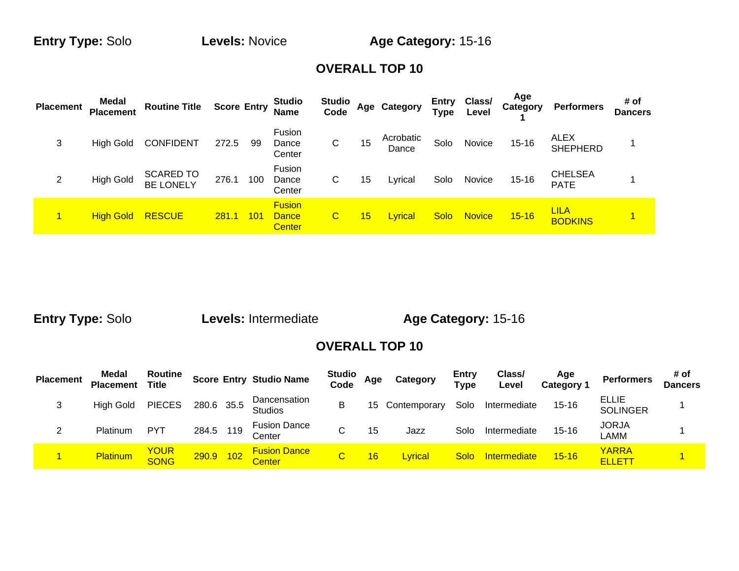**Entry Type:** Solo **Levels:** Novice **Age Category:** 15-16

#### **OVERALL TOP 10**

| <b>Placement</b> | Medal<br><b>Placement</b> | <b>Routine Title</b>                 | <b>Score Entry</b> |     | <b>Studio</b><br><b>Name</b>                   | <b>Studio</b><br>Code   |    | Age Category       | Entry<br>Type | Class/<br>Level | Age<br><b>Category</b> | <b>Performers</b>             | # of<br><b>Dancers</b> |
|------------------|---------------------------|--------------------------------------|--------------------|-----|------------------------------------------------|-------------------------|----|--------------------|---------------|-----------------|------------------------|-------------------------------|------------------------|
| 3                | High Gold                 | <b>CONFIDENT</b>                     | 272.5              | 99  | Fusion<br>Dance<br>Center                      | С                       | 15 | Acrobatic<br>Dance | Solo          | Novice          | $15 - 16$              | ALEX<br><b>SHEPHERD</b>       |                        |
| 2                | <b>High Gold</b>          | <b>SCARED TO</b><br><b>BE LONELY</b> | 276.1              | 100 | Fusion<br>Dance<br>Center                      | С                       | 15 | Lyrical            | Solo          | Novice          | $15 - 16$              | <b>CHELSEA</b><br><b>PATE</b> |                        |
|                  | <b>High Gold</b>          | <b>RESCUE</b>                        | <b>281.1</b>       | 101 | <b>Fusion</b><br><b>Dance</b><br><b>Center</b> | $\overline{\mathbf{C}}$ | 15 | Lyrical            | <b>Solo</b>   | <b>Novice</b>   | $15 - 16$              | <u>LILA</u><br><b>BODKINS</b> | Ч.                     |

**Entry Type:** Solo **Levels:** Intermediate **Age Category:** 15-16

| <b>Placement</b> | Medal<br><b>Placement</b> | Routine<br><b>Title</b>    |            |     | <b>Score Entry Studio Name</b>       | <b>Studio</b><br>Code | Age | Category        | Entry<br><b>Type</b> | Class/<br>Level | Age<br>Category 1 | <b>Performers</b>               | # of<br><b>Dancers</b> |
|------------------|---------------------------|----------------------------|------------|-----|--------------------------------------|-----------------------|-----|-----------------|----------------------|-----------------|-------------------|---------------------------------|------------------------|
| 3                | High Gold                 | <b>PIECES</b>              | 280.6 35.5 |     | Dancensation<br><b>Studios</b>       | B                     |     | 15 Contemporary | Solo                 | Intermediate    | $15 - 16$         | <b>ELLIE</b><br><b>SOLINGER</b> |                        |
| $\sim$           | Platinum                  | <b>PYT</b>                 | 284.5      | 119 | <b>Fusion Dance</b><br>Center        |                       | 15  | Jazz            | Solo                 | Intermediate    | $15 - 16$         | <b>JORJA</b><br>_AMM            |                        |
|                  | Platinum                  | <b>YOUR</b><br><b>SONG</b> | 290.9      | 102 | <b>Fusion Dance</b><br><b>Center</b> | C                     | 16  | Lyrical         | <b>Solo</b>          | Intermediate    | $15 - 16$         | <b>YARRA</b><br><b>ELLETT</b>   |                        |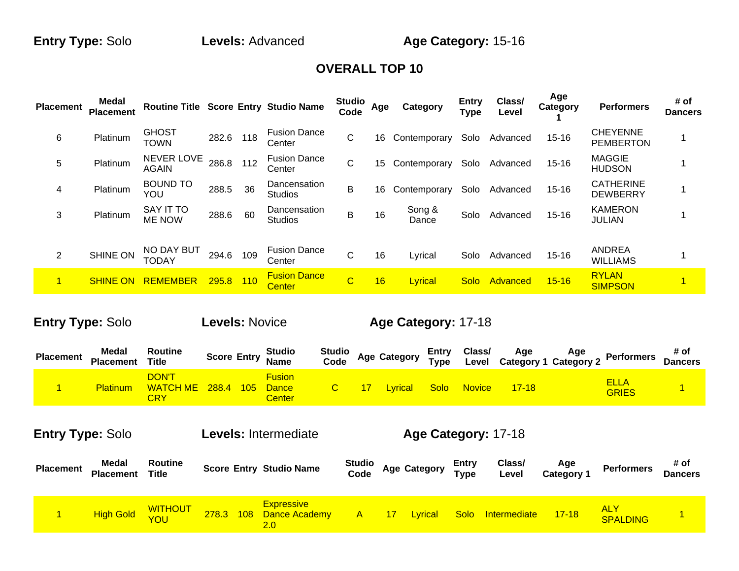**Entry Type:** Solo **Levels:** Advanced **Age Category:** 15-16

### **OVERALL TOP 10**

| <b>Placement</b> | Medal<br><b>Placement</b> | Routine Title Score Entry Studio Name |       |     |                                | <b>Studio</b><br>Code | Age | Category        | <b>Entry</b><br>Type | Class/<br>Level | Age<br>Category | <b>Performers</b>                   | # of<br><b>Dancers</b> |
|------------------|---------------------------|---------------------------------------|-------|-----|--------------------------------|-----------------------|-----|-----------------|----------------------|-----------------|-----------------|-------------------------------------|------------------------|
| 6                | Platinum                  | <b>GHOST</b><br><b>TOWN</b>           | 282.6 | 118 | <b>Fusion Dance</b><br>Center  | C                     | 16  | Contemporary    | Solo                 | Advanced        | $15 - 16$       | <b>CHEYENNE</b><br><b>PEMBERTON</b> |                        |
| 5                | Platinum                  | <b>NEVER LOVE</b><br><b>AGAIN</b>     | 286.8 | 112 | <b>Fusion Dance</b><br>Center  | С                     | 15  | Contemporary    | Solo                 | Advanced        | $15 - 16$       | <b>MAGGIE</b><br><b>HUDSON</b>      |                        |
| 4                | Platinum                  | <b>BOUND TO</b><br>YOU                | 288.5 | 36  | Dancensation<br>Studios        | B                     | 16  | Contemporary    | Solo                 | Advanced        | $15 - 16$       | <b>CATHERINE</b><br><b>DEWBERRY</b> |                        |
| 3                | Platinum                  | <b>SAY IT TO</b><br><b>ME NOW</b>     | 288.6 | 60  | Dancensation<br><b>Studios</b> | B                     | 16  | Song &<br>Dance | Solo                 | Advanced        | $15 - 16$       | <b>KAMERON</b><br><b>JULIAN</b>     |                        |
| $\overline{2}$   | <b>SHINE ON</b>           | NO DAY BUT<br>TODAY                   | 294.6 | 109 | <b>Fusion Dance</b><br>Center  | С                     | 16  | Lyrical         | Solo                 | Advanced        | $15 - 16$       | <b>ANDREA</b><br><b>WILLIAMS</b>    |                        |
| $\mathbf{1}$     | <b>SHINE ON</b>           | REMEMBER                              | 295.8 | 110 | <b>Fusion Dance</b><br>Center  | $\overline{C}$        | 16  | Lyrical         | Solo                 | Advanced        | $15 - 16$       | <b>RYLAN</b><br><b>SIMPSON</b>      |                        |

# **Entry Type:** Solo **Levels:** Novice **Age Category:** 17-18

| <b>Placement</b> | <b>Medal</b><br><b>Placement</b> | Routine<br>Title                       |       |     | <b>Studio</b><br>Score Entry Name              | Studio<br>Age Category<br>Code |                | Entry<br><b>Type</b> | Class/        | Age       | Age<br>Level Category 1 Category 2 | <b>Performers</b>    | # of<br><b>Dancers</b> |
|------------------|----------------------------------|----------------------------------------|-------|-----|------------------------------------------------|--------------------------------|----------------|----------------------|---------------|-----------|------------------------------------|----------------------|------------------------|
|                  | <b>Platinum</b>                  | <b>DON'T</b><br><b>WATCH ME</b><br>CRY | 288.4 | 105 | <b>Fusion</b><br><b>Dance</b><br><b>Center</b> |                                | <u>-vrical</u> | Solol                | <b>Novice</b> | $17 - 18$ |                                    | <b>ELLA</b><br>GRIES |                        |

# **Entry Type:** Solo **Levels:** Intermediate **Age Category:** 17-18

| <b>Placement</b> | <b>Medal</b><br><b>Placement</b> | Routine<br>Title      |       | <b>Score Entry Studio Name</b>                          | <b>Studio</b><br>Code |       | <b>Age Category</b> | Entry<br><b>Type</b> | Class/<br>Level   | Age<br>Category 1 | <b>Performers</b> | # of<br><b>Dancers</b> |
|------------------|----------------------------------|-----------------------|-------|---------------------------------------------------------|-----------------------|-------|---------------------|----------------------|-------------------|-------------------|-------------------|------------------------|
|                  | <b>High Gold</b>                 | <b>WITHOUT</b><br>YOU | 278.3 | <b>Expressive</b><br>108 Dance Academy<br>$2.0^{\circ}$ | $\overline{A}$        | $-17$ | <b>Lyrical</b>      |                      | Solo Intermediate | $17 - 18$         | ALY<br>SPALDING   |                        |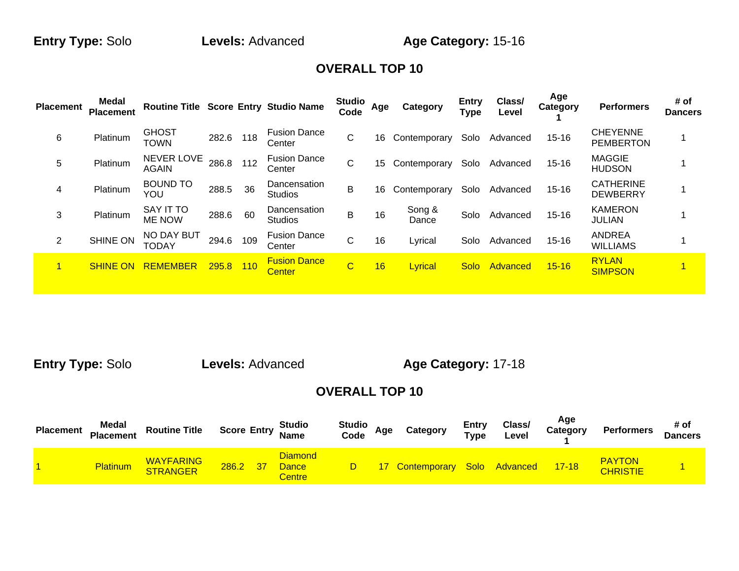**Entry Type:** Solo **Levels:** Advanced **Age Category:** 15-16

### **OVERALL TOP 10**

| <b>Placement</b> | Medal<br><b>Placement</b> | <b>Routine Title Score Entry Studio Name</b> |       |     |                                      | Studio<br>Code          | Age | <b>Category</b> | Entry<br><b>Type</b> | Class/<br>Level | Age<br>Category | <b>Performers</b>                   | # of<br><b>Dancers</b> |
|------------------|---------------------------|----------------------------------------------|-------|-----|--------------------------------------|-------------------------|-----|-----------------|----------------------|-----------------|-----------------|-------------------------------------|------------------------|
| 6                | Platinum                  | <b>GHOST</b><br><b>TOWN</b>                  | 282.6 | 118 | <b>Fusion Dance</b><br>Center        | C                       | 16  | Contemporary    | Solo                 | Advanced        | $15 - 16$       | <b>CHEYENNE</b><br><b>PEMBERTON</b> |                        |
| 5                | Platinum                  | NEVER LOVE<br><b>AGAIN</b>                   | 286.8 | 112 | <b>Fusion Dance</b><br>Center        | C                       | 15  | Contemporary    | Solo                 | Advanced        | $15 - 16$       | <b>MAGGIE</b><br><b>HUDSON</b>      |                        |
| 4                | Platinum                  | <b>BOUND TO</b><br>YOU                       | 288.5 | 36  | Dancensation<br><b>Studios</b>       | B                       | 16  | Contemporary    | Solo                 | Advanced        | $15 - 16$       | <b>CATHERINE</b><br><b>DEWBERRY</b> |                        |
| 3                | Platinum                  | SAY IT TO<br>ME NOW                          | 288.6 | 60  | Dancensation<br><b>Studios</b>       | B                       | 16  | Song &<br>Dance | Solo                 | Advanced        | $15 - 16$       | <b>KAMERON</b><br><b>JULIAN</b>     |                        |
| $\overline{2}$   | <b>SHINE ON</b>           | NO DAY BUT<br>TODAY                          | 294.6 | 109 | <b>Fusion Dance</b><br>Center        | C                       | 16  | Lyrical         | Solo                 | Advanced        | $15 - 16$       | <b>ANDREA</b><br><b>WILLIAMS</b>    |                        |
|                  | <b>SHINE ON</b>           | <b>REMEMBER</b>                              | 295.8 | 110 | <b>Fusion Dance</b><br><b>Center</b> | $\overline{\mathsf{C}}$ | 16  | Lyrical         | Solo                 | Advanced        | $15 - 16$       | <b>RYLAN</b><br><b>SIMPSON</b>      |                        |

**Entry Type:** Solo **Levels:** Advanced **Age Category:** 17-18

| <b>Placement</b> | Medal<br><b>Placement</b> | <b>Routine Title</b>                |       |    | <b>Score Entry Studio</b><br>Name               | Studio $\lambda$<br>Code | Age | Category                      | Entry<br>Type | Class/<br>Level | Age<br>Category | <b>Performers</b>                | # of<br><b>Dancers</b> |
|------------------|---------------------------|-------------------------------------|-------|----|-------------------------------------------------|--------------------------|-----|-------------------------------|---------------|-----------------|-----------------|----------------------------------|------------------------|
|                  | <b>Platinum</b>           | <b>WAYFARING</b><br><b>STRANGER</b> | 286.2 | 37 | <b>Diamond</b><br><b>Dance</b><br><b>Centre</b> |                          |     | 17 Contemporary Solo Advanced |               |                 | $17-18$         | <b>PAYTON</b><br><b>CHRISTIE</b> |                        |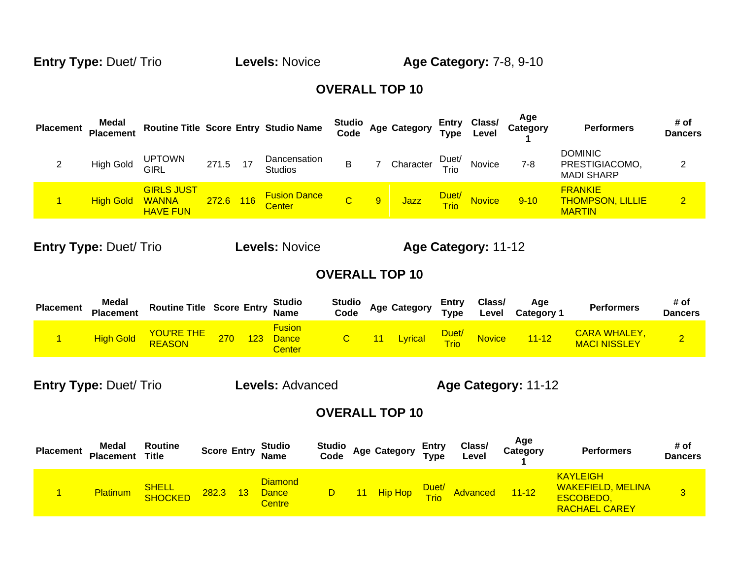**Entry Type:** Duet/ Trio **Levels:** Novice **Age Category:** 7-8, 9-10

#### **OVERALL TOP 10**

| <b>Placement</b> | Medal<br><b>Placement</b> |                                                      |           | Routine Title Score Entry Studio Name | <b>Studio</b><br>Code |   | <b>Age Category</b> |               | Entry Class/<br>Type Level | Age<br>Category | <b>Performers</b>                                          | # of<br><b>Dancers</b> |
|------------------|---------------------------|------------------------------------------------------|-----------|---------------------------------------|-----------------------|---|---------------------|---------------|----------------------------|-----------------|------------------------------------------------------------|------------------------|
|                  | <b>High Gold</b>          | <b>UPTOWN</b><br><b>GIRL</b>                         | 271.5     | Dancensation<br><b>Studios</b>        |                       |   | Character           | Duet/<br>Trio | Novice                     | 7-8             | <b>DOMINIC</b><br>PRESTIGIACOMO,<br><b>MADI SHARP</b>      | ⌒                      |
|                  | <b>High Gold</b>          | <b>GIRLS JUST</b><br><b>WANNA</b><br><b>HAVE FUN</b> | 272.6 116 | <b>Fusion Dance</b><br><b>Center</b>  |                       | 9 | Jazz                | Duet/<br>Trio | <b>Novice</b>              | $9 - 10$        | <b>FRANKIE</b><br><b>THOMPSON, LILLIE</b><br><b>MARTIN</b> | $\overline{2}$         |

**Entry Type:** Duet/ Trio **Levels:** Novice **Age Category:** 11-12

#### **OVERALL TOP 10**

| <b>Placement</b> | Medal<br><b>Placement</b> | <b>Routine Title Score Entry Studio</b><br>Name |     |     |                                         | Studio<br>Code | <b>Age Category</b> | Entry<br>Type | Class/<br>∟evel | Age<br><b>Category 1</b> | <b>Performers</b>                          | # of<br>Dancers |
|------------------|---------------------------|-------------------------------------------------|-----|-----|-----------------------------------------|----------------|---------------------|---------------|-----------------|--------------------------|--------------------------------------------|-----------------|
|                  | High Gold                 | <b>YOU'RE THE</b>                               | 270 | 123 | <b>Fusion</b><br><b>Dance</b><br>Center |                | Lyrical Duet        |               | <b>Novice</b>   | $11 - 12$                | <b>CARA WHALEY,</b><br><b>MACI NISSLEY</b> |                 |

**Entry Type:** Duet/ Trio **Levels:** Advanced **Age Category:** 11-12

| <b>Placement</b> | Medal<br><b>Placement</b> | Routine<br><b>Title</b> |          | <b>Score Entry Studio</b><br>Name               |  | Studio<br>Code Age Category | <b>Entry</b><br><b>Type</b> | Class/<br>Level | Age<br>Category                   | <b>Performers</b>                                                                | # of<br>Dancers |
|------------------|---------------------------|-------------------------|----------|-------------------------------------------------|--|-----------------------------|-----------------------------|-----------------|-----------------------------------|----------------------------------------------------------------------------------|-----------------|
|                  | <b>Platinum</b>           | <b>SHELL</b><br>SHOCKED | 282.3 13 | <b>Diamond</b><br><b>Dance</b><br><b>Centre</b> |  |                             |                             |                 | D 11 Hip Hop Duet/ Advanced 11-12 | <b>KAYLEIGH</b><br><b>WAKEFIELD, MELINA</b><br>ESCOBEDO,<br><b>RACHAEL CAREY</b> |                 |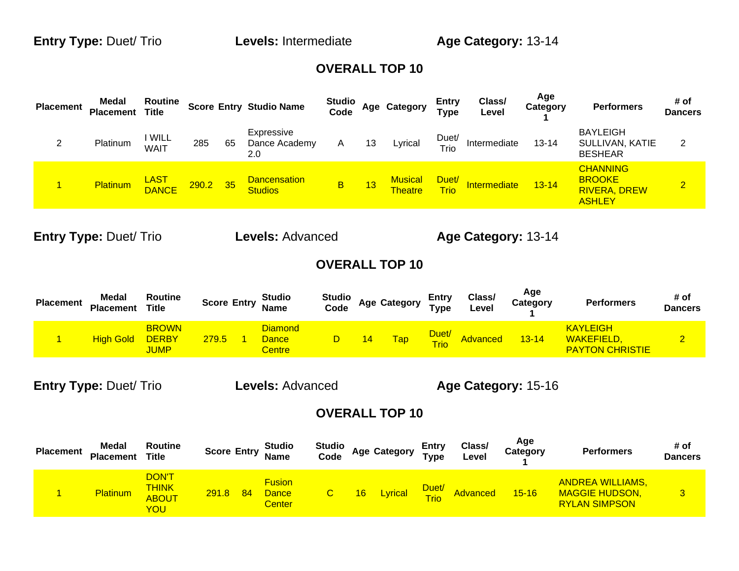| <b>Placement</b> | <b>Medal</b><br><b>Placement</b> | <b>Routine</b><br><b>Title</b> |     |    | <b>Score Entry Studio Name</b>        | <b>Studio</b><br>Code |    | Age Category                     | <b>Entry</b><br><b>Type</b> | Class/<br>Level | Age<br>Category | <b>Performers</b>                                                        | # of<br><b>Dancers</b> |
|------------------|----------------------------------|--------------------------------|-----|----|---------------------------------------|-----------------------|----|----------------------------------|-----------------------------|-----------------|-----------------|--------------------------------------------------------------------------|------------------------|
|                  | Platinum                         | <b>WILL</b><br><b>WAIT</b>     | 285 | 65 | Expressive<br>Dance Academy<br>2.0    | A                     | 13 | Lyrical                          | Duet/<br>Trio               | Intermediate    | $13 - 14$       | <b>BAYLEIGH</b><br>SULLIVAN, KATIE<br><b>BESHEAR</b>                     | 2                      |
|                  | <b>Platinum</b>                  | LAST<br>DANCE 290.2 35         |     |    | <b>Dancensation</b><br><b>Studios</b> | B                     | 13 | <b>Musical</b><br><b>Theatre</b> | Duet/<br><b>Trio</b>        | Intermediate    | $13 - 14$       | <b>CHANNING</b><br><b>BROOKE</b><br><b>RIVERA, DREW</b><br><b>ASHLEY</b> | $\overline{2}$         |

**Entry Type:** Duet/ Trio **Levels:** Advanced **Age Category:** 13-14

#### **OVERALL TOP 10**

| <b>Placement</b> | Medal<br><b>Placement</b> | Routine<br>Title                            |       | <b>Score Entry</b> | <b>Studio</b><br><b>Name</b>      | Studio<br>Code | <b>Age Category</b> | <b>Entry</b><br><b>Type</b> | Class/<br>Level | Age<br>Category | <b>Performers</b>                                       | # of<br>Dancers |
|------------------|---------------------------|---------------------------------------------|-------|--------------------|-----------------------------------|----------------|---------------------|-----------------------------|-----------------|-----------------|---------------------------------------------------------|-----------------|
|                  | <b>High Gold</b>          | <b>BROWN</b><br><b>DERBY</b><br><b>JUMP</b> | 279.5 |                    | Diamond<br>Dance<br><b>Centre</b> |                | <b>Tap</b>          | Duet/<br><b>Trio</b>        | Advanced        | $3 - 14$        | <b>KAYLEIGH</b><br>WAKEFIELD,<br><b>PAYTON CHRISTIE</b> |                 |

**Entry Type:** Duet/ Trio **Levels:** Advanced **Age Category:** 15-16

| <b>Placement</b> | Medal<br><b>Placement</b> | Routine<br><b>Title</b>                             | <b>Score Entry</b> |    | <b>Studio</b><br><b>Name</b>            | <b>Studio</b><br>Code |    | <b>Age Category</b> | Entry<br><b>Type</b> | Class/<br>Level | Age<br>Category | <b>Performers</b>                                                        | # of<br>Dancers |
|------------------|---------------------------|-----------------------------------------------------|--------------------|----|-----------------------------------------|-----------------------|----|---------------------|----------------------|-----------------|-----------------|--------------------------------------------------------------------------|-----------------|
|                  | <b>Platinum</b>           | <b>DON'T</b><br><b>THINK</b><br><b>ABOUT</b><br>YOU | <b>291.8</b>       | 84 | <b>Fusion</b><br>Dance<br><b>Center</b> |                       | 16 | Lyrical             | Duet/<br>Trio        | Advanced        | $15 - 16$       | <b>ANDREA WILLIAMS,</b><br><b>MAGGIE HUDSON,</b><br><b>RYLAN SIMPSON</b> | 3               |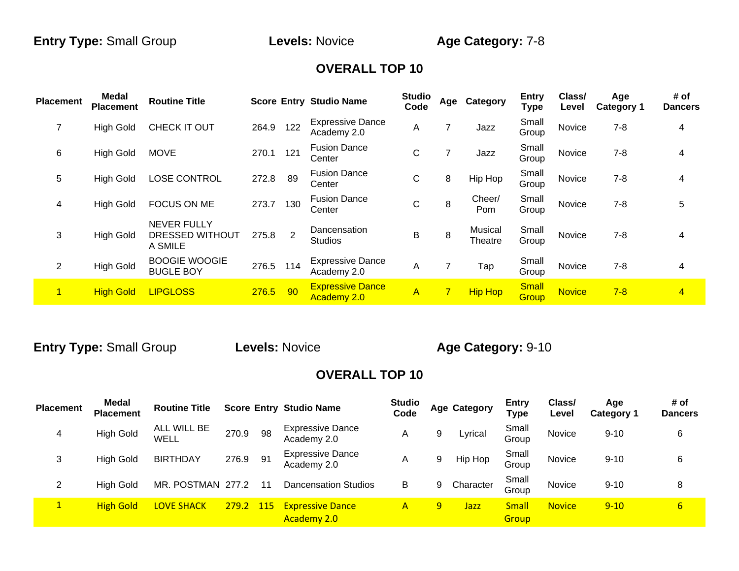| <b>Placement</b> | <b>Medal</b><br><b>Placement</b> | <b>Routine Title</b>                             |       |                | <b>Score Entry Studio Name</b>         | <b>Studio</b><br>Code | Age            | Category           | <b>Entry</b><br><b>Type</b> | Class/<br>Level | Age<br><b>Category 1</b> | # of<br><b>Dancers</b>  |
|------------------|----------------------------------|--------------------------------------------------|-------|----------------|----------------------------------------|-----------------------|----------------|--------------------|-----------------------------|-----------------|--------------------------|-------------------------|
| 7                | <b>High Gold</b>                 | CHECK IT OUT                                     | 264.9 | 122            | <b>Expressive Dance</b><br>Academy 2.0 | A                     |                | Jazz               | Small<br>Group              | Novice          | $7 - 8$                  | 4                       |
| 6                | <b>High Gold</b>                 | <b>MOVE</b>                                      | 270.1 | 121            | <b>Fusion Dance</b><br>Center          | $\mathsf{C}$          |                | Jazz               | Small<br>Group              | Novice          | $7 - 8$                  | 4                       |
| 5                | <b>High Gold</b>                 | <b>LOSE CONTROL</b>                              | 272.8 | 89             | <b>Fusion Dance</b><br>Center          | C                     | 8              | Hip Hop            | Small<br>Group              | Novice          | $7 - 8$                  | 4                       |
| 4                | <b>High Gold</b>                 | <b>FOCUS ON ME</b>                               | 273.7 | 130            | <b>Fusion Dance</b><br>Center          | C                     | 8              | Cheer/<br>Pom      | Small<br>Group              | Novice          | $7 - 8$                  | 5                       |
| 3                | <b>High Gold</b>                 | <b>NEVER FULLY</b><br>DRESSED WITHOUT<br>A SMILE | 275.8 | $\overline{2}$ | Dancensation<br><b>Studios</b>         | B                     | 8              | Musical<br>Theatre | Small<br>Group              | Novice          | $7 - 8$                  | 4                       |
| $\overline{2}$   | <b>High Gold</b>                 | <b>BOOGIE WOOGIE</b><br><b>BUGLE BOY</b>         | 276.5 | 114            | <b>Expressive Dance</b><br>Academy 2.0 | A                     | 7              | Tap                | Small<br>Group              | Novice          | $7 - 8$                  | 4                       |
| 1                | <b>High Gold</b>                 | <b>LIPGLOSS</b>                                  | 276.5 | 90             | <b>Expressive Dance</b><br>Academy 2.0 | $\overline{A}$        | $\overline{7}$ | <b>Hip Hop</b>     | <b>Small</b><br>Group       | <b>Novice</b>   | $7 - 8$                  | $\overline{\mathbf{4}}$ |

**Entry Type:** Small Group **Levels:** Novice **Age Category:** 9-10

| <b>Placement</b> | <b>Medal</b><br><b>Placement</b> | <b>Routine Title</b> |       |              | <b>Score Entry Studio Name</b>                | <b>Studio</b><br>Code |   | <b>Age Category</b> | <b>Entry</b><br><b>Type</b> | Class/<br>Level | Age<br><b>Category 1</b> | # of<br><b>Dancers</b> |
|------------------|----------------------------------|----------------------|-------|--------------|-----------------------------------------------|-----------------------|---|---------------------|-----------------------------|-----------------|--------------------------|------------------------|
| 4                | <b>High Gold</b>                 | ALL WILL BE<br>WELL  | 270.9 | 98           | <b>Expressive Dance</b><br>Academy 2.0        | A                     | 9 | Lyrical             | Small<br>Group              | <b>Novice</b>   | $9 - 10$                 | 6                      |
| 3                | High Gold                        | <b>BIRTHDAY</b>      | 276.9 | 91           | <b>Expressive Dance</b><br>Academy 2.0        | A                     | 9 | Hip Hop             | Small<br>Group              | <b>Novice</b>   | $9 - 10$                 | 6                      |
| 2                | <b>High Gold</b>                 | MR. POSTMAN 277.2    |       | 11           | <b>Dancensation Studios</b>                   | В                     | 9 | Character           | Small<br>Group              | Novice          | $9 - 10$                 | 8                      |
|                  | <b>High Gold</b>                 | <b>LOVE SHACK</b>    | 279.2 | $\sqrt{115}$ | <b>Expressive Dance</b><br><b>Academy 2.0</b> | $\mathsf{A}$          | 9 | Jazz                | <b>Small</b><br>Group       | <b>Novice</b>   | $9 - 10$                 | $6\overline{6}$        |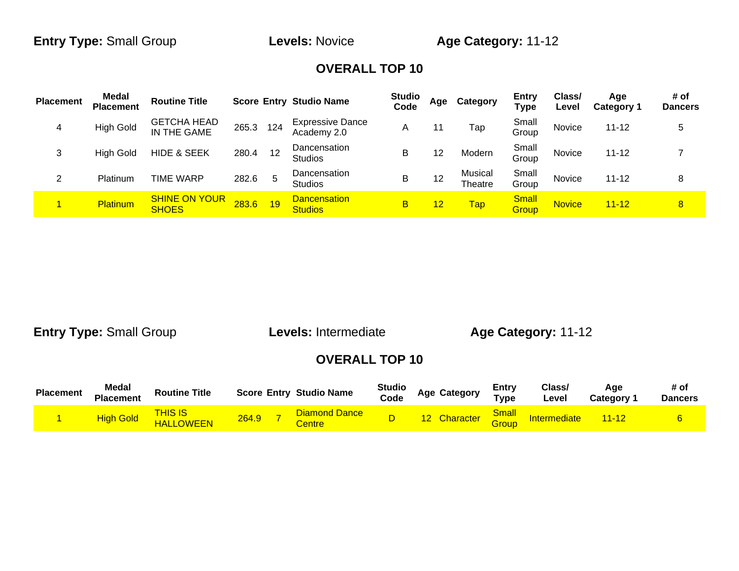| <b>Placement</b> | <b>Medal</b><br><b>Placement</b> | <b>Routine Title</b>                 |       |     | <b>Score Entry Studio Name</b>         | <b>Studio</b><br>Code | Age | Category           | <b>Entry</b><br>Type  | Class/<br>Level | Age<br><b>Category 1</b> | # of<br><b>Dancers</b> |
|------------------|----------------------------------|--------------------------------------|-------|-----|----------------------------------------|-----------------------|-----|--------------------|-----------------------|-----------------|--------------------------|------------------------|
| 4                | <b>High Gold</b>                 | <b>GETCHA HEAD</b><br>IN THE GAME    | 265.3 | 124 | <b>Expressive Dance</b><br>Academy 2.0 | A                     |     | Tap                | Small<br>Group        | Novice          | $11 - 12$                | 5                      |
| 3                | <b>High Gold</b>                 | <b>HIDE &amp; SEEK</b>               | 280.4 | 12  | <b>Dancensation</b><br><b>Studios</b>  | B                     | 12  | Modern             | Small<br>Group        | Novice          | $11 - 12$                |                        |
| ົ                | Platinum                         | TIME WARP                            | 282.6 | 5   | <b>Dancensation</b><br><b>Studios</b>  | B                     | 12  | Musical<br>Theatre | Small<br>Group        | Novice          | $11 - 12$                | 8                      |
|                  | Platinum                         | <b>SHINE ON YOUR</b><br><b>SHOES</b> | 283.6 | 19  | <b>Dancensation</b><br><b>Studios</b>  | в                     | 12  | <b>Tap</b>         | <b>Small</b><br>Group | <b>Novice</b>   | $11 - 12$                | $\mathbf{8}$           |

**Entry Type:** Small Group **Levels:** Intermediate **Age Category:** 11-12

| <b>Placement</b> | <b>Medal</b><br><b>Placement</b> | <b>Routine Title</b>                     | <b>Score Entry Studio Name</b>                 | <b>Studio</b><br>Code | <b>Age Category</b> | <b>Entry</b><br>Type          | Class/<br>Level     | Aae<br><b>Category</b> | # of<br><b>Dancers</b> |
|------------------|----------------------------------|------------------------------------------|------------------------------------------------|-----------------------|---------------------|-------------------------------|---------------------|------------------------|------------------------|
|                  | <b>High Gold</b>                 | <mark>THIS IS</mark><br><b>HALLOWEEN</b> | <b>Diamond Dance</b><br>264.9<br><b>Centre</b> |                       | Character           | <u>Small_</u><br><b>Group</b> | <b>Intermediate</b> | $11 - 12$              |                        |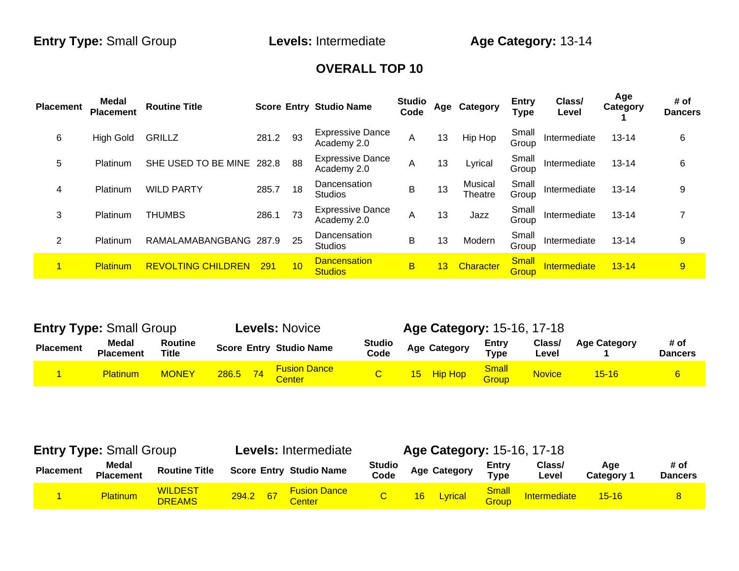| <b>Placement</b> | Medal<br><b>Placement</b> | <b>Routine Title</b>      |       |    | <b>Score Entry Studio Name</b>         | <b>Studio</b><br>Code |    | Age Category       | <b>Entry</b><br><b>Type</b> | Class/<br>Level | Age<br>Category | # of<br><b>Dancers</b> |
|------------------|---------------------------|---------------------------|-------|----|----------------------------------------|-----------------------|----|--------------------|-----------------------------|-----------------|-----------------|------------------------|
| 6                | <b>High Gold</b>          | <b>GRILLZ</b>             | 281.2 | 93 | <b>Expressive Dance</b><br>Academy 2.0 | A                     | 13 | Hip Hop            | Small<br>Group              | Intermediate    | $13 - 14$       | 6                      |
| 5                | Platinum                  | SHE USED TO BE MINE       | 282.8 | 88 | <b>Expressive Dance</b><br>Academy 2.0 | A                     | 13 | Lyrical            | Small<br>Group              | Intermediate    | $13 - 14$       | 6                      |
| 4                | Platinum                  | <b>WILD PARTY</b>         | 285.7 | 18 | Dancensation<br><b>Studios</b>         | B                     | 13 | Musical<br>Theatre | Small<br>Group              | Intermediate    | $13 - 14$       | 9                      |
| 3                | Platinum                  | THUMBS                    | 286.1 | 73 | <b>Expressive Dance</b><br>Academy 2.0 | A                     | 13 | Jazz               | Small<br>Group              | Intermediate    | $13 - 14$       |                        |
| $\overline{2}$   | Platinum                  | RAMALAMABANGBANG 287.9    |       | 25 | Dancensation<br><b>Studios</b>         | B                     | 13 | Modern             | Small<br>Group              | Intermediate    | $13 - 14$       | 9                      |
| $\blacksquare$   | <b>Platinum</b>           | <b>REVOLTING CHILDREN</b> | 291   | 10 | <b>Dancensation</b><br><b>Studios</b>  | B                     | 13 | Character          | <b>Small</b><br>Group       | Intermediate    | $13 - 14$       | 9                      |

| <b>Entry Type: Small Group</b> |                           |                         |       | <b>Levels: Novice</b>          |                       | <b>Age Category: 15-16, 17-18</b> |                       |                 |                     |                        |
|--------------------------------|---------------------------|-------------------------|-------|--------------------------------|-----------------------|-----------------------------------|-----------------------|-----------------|---------------------|------------------------|
| <b>Placement</b>               | Medal<br><b>Placement</b> | <b>Routine</b><br>Title |       | <b>Score Entry Studio Name</b> | <b>Studio</b><br>Code | <b>Age Category</b>               | Entry<br><b>Type</b>  | Class/<br>Level | <b>Age Category</b> | # of<br><b>Dancers</b> |
|                                | <b>Platinum</b>           | <b>MONEY</b>            | 286.5 | <b>Fusion Dance</b><br>Center  |                       | 15 Hip Hop                        | <b>Small</b><br>Group | <b>Novice</b>   | $15 - 16$           | 6                      |

|                  | <b>Entry Type: Small Group</b> |                                 |          |  | <b>Levels: Intermediate</b>          |                       | <b>Age Category: 15-16, 17-18</b> |                     |                      |                 |                   |                        |
|------------------|--------------------------------|---------------------------------|----------|--|--------------------------------------|-----------------------|-----------------------------------|---------------------|----------------------|-----------------|-------------------|------------------------|
| <b>Placement</b> | Medal<br><b>Placement</b>      | <b>Routine Title</b>            |          |  | <b>Score Entry Studio Name</b>       | <b>Studio</b><br>Code |                                   | <b>Age Category</b> | Entry<br><b>Type</b> | Class/<br>Level | Age<br>Category 1 | # of<br><b>Dancers</b> |
|                  | <b>Platinum</b>                | <b>WILDEST</b><br><b>DREAMS</b> | 294.2 67 |  | <b>Fusion Dance</b><br><b>Center</b> |                       | 16 <sup>2</sup>                   | Lyrical             | Small<br>Group       | Intermediate    | $15 - 16$         | 8 <sup>°</sup>         |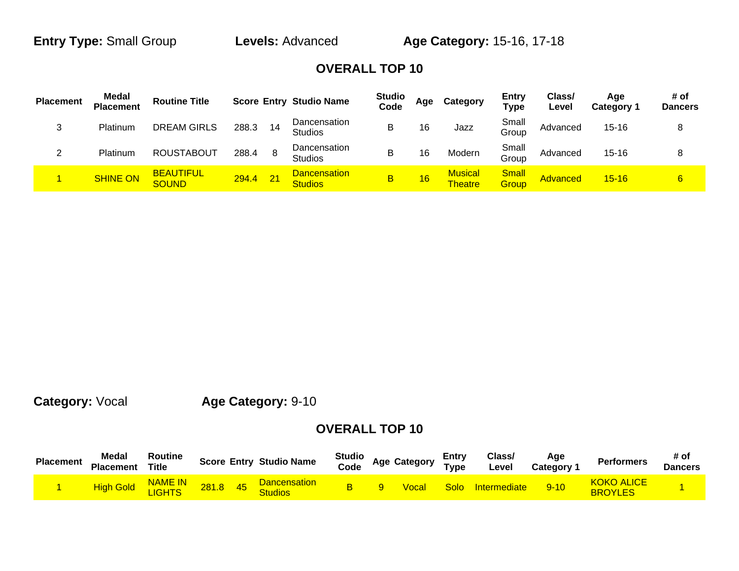**Entry Type:** Small Group **Levels:** Advanced **Age Category:** 15-16, 17-18

### **OVERALL TOP 10**

| <b>Placement</b> | <b>Medal</b><br><b>Placement</b> | <b>Routine Title</b>             |       |    | <b>Score Entry Studio Name</b>        | <b>Studio</b><br>Code | Age | Category                         | Entry<br><b>Type</b>  | Class/<br>Level | Age<br><b>Category 1</b> | # of<br>Dancers |
|------------------|----------------------------------|----------------------------------|-------|----|---------------------------------------|-----------------------|-----|----------------------------------|-----------------------|-----------------|--------------------------|-----------------|
| ົ<br>پ           | Platinum                         | <b>DREAM GIRLS</b>               | 288.3 | 14 | Dancensation<br><b>Studios</b>        | B                     | 16  | Jazz                             | Small<br>Group        | Advanced        | 15-16                    | 8               |
| ົ                | Platinum                         | <b>ROUSTABOUT</b>                | 288.4 |    | Dancensation<br><b>Studios</b>        | B                     | 16  | Modern                           | Small<br>Group        | Advanced        | $15 - 16$                | 8               |
|                  | <b>SHINE ON</b>                  | <b>BEAUTIFUL</b><br><b>SOUND</b> | 294.4 | 21 | <b>Dancensation</b><br><b>Studios</b> | В                     | 16  | <b>Musical</b><br><b>Theatre</b> | <b>Small</b><br>Group | Advanced        | $15 - 16$                | $6 \overline{}$ |

**Category:** Vocal **Age Category:** 9-10

| <b>Placement</b> | <b>Medal</b><br><b>Placement</b> | Routine<br><b>Title</b>        |       |    | <b>Score Entry Studio Name</b>        | <b>Studio</b><br>Code | <b>Age Category</b> | Entrv<br>Type | Class/<br>Level     | Age<br><b>Category 1</b> | <b>Performers</b>            | # of<br><b>Dancers</b> |
|------------------|----------------------------------|--------------------------------|-------|----|---------------------------------------|-----------------------|---------------------|---------------|---------------------|--------------------------|------------------------------|------------------------|
|                  | High Gold                        | <b>NAME IN</b><br><b>JGHTS</b> | 281.8 | 45 | <b>Dancensation</b><br><b>Studios</b> |                       | <b>Voca</b>         | Solo          | <b>Intermediate</b> | $9 - 10$                 | KOKO ALICE<br><b>BROYLES</b> |                        |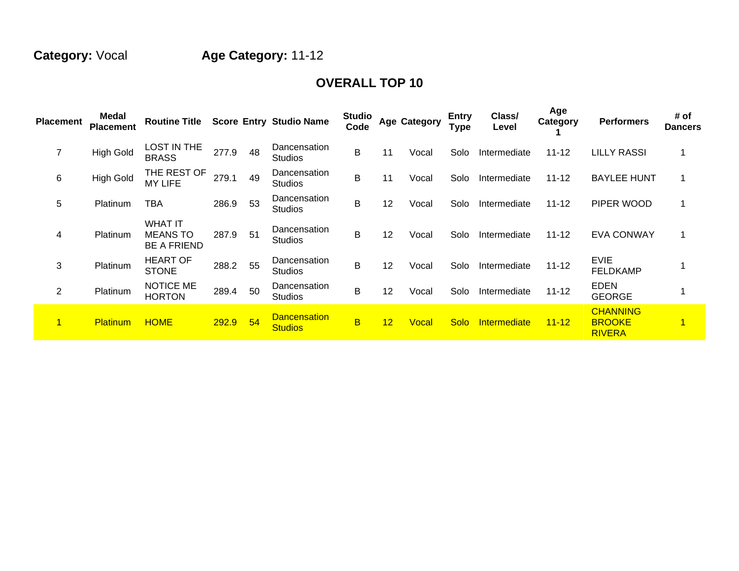# **Category:** Vocal **Age Category:** 11-12

| <b>Placement</b> | Medal<br><b>Placement</b> | <b>Routine Title</b>                                    |       |    | <b>Score Entry Studio Name</b>        | <b>Studio</b><br>Code   |    | <b>Age Category</b> | <b>Entry</b><br><b>Type</b> | Class/<br>Level | Age<br>Category | <b>Performers</b>                                 | # of<br><b>Dancers</b> |
|------------------|---------------------------|---------------------------------------------------------|-------|----|---------------------------------------|-------------------------|----|---------------------|-----------------------------|-----------------|-----------------|---------------------------------------------------|------------------------|
| 7                | <b>High Gold</b>          | <b>LOST IN THE</b><br><b>BRASS</b>                      | 277.9 | 48 | Dancensation<br><b>Studios</b>        | B                       | 11 | Vocal               | Solo                        | Intermediate    | $11 - 12$       | <b>LILLY RASSI</b>                                |                        |
| 6                | <b>High Gold</b>          | THE REST OF<br><b>MY LIFE</b>                           | 279.1 | 49 | Dancensation<br><b>Studios</b>        | B                       | 11 | Vocal               | Solo                        | Intermediate    | $11 - 12$       | <b>BAYLEE HUNT</b>                                |                        |
| 5                | Platinum                  | TBA                                                     | 286.9 | 53 | Dancensation<br><b>Studios</b>        | B                       | 12 | Vocal               | Solo                        | Intermediate    | $11 - 12$       | PIPER WOOD                                        |                        |
| 4                | Platinum                  | <b>WHAT IT</b><br><b>MEANS TO</b><br><b>BE A FRIEND</b> | 287.9 | 51 | Dancensation<br><b>Studios</b>        | B                       | 12 | Vocal               | Solo                        | Intermediate    | $11 - 12$       | <b>EVA CONWAY</b>                                 |                        |
| 3                | Platinum                  | <b>HEART OF</b><br><b>STONE</b>                         | 288.2 | 55 | Dancensation<br><b>Studios</b>        | B                       | 12 | Vocal               | Solo                        | Intermediate    | $11 - 12$       | <b>EVIE</b><br><b>FELDKAMP</b>                    |                        |
| 2                | Platinum                  | NOTICE ME<br><b>HORTON</b>                              | 289.4 | 50 | Dancensation<br><b>Studios</b>        | B                       | 12 | Vocal               | Solo                        | Intermediate    | $11 - 12$       | <b>EDEN</b><br><b>GEORGE</b>                      |                        |
|                  | <b>Platinum</b>           | <b>HOME</b>                                             | 292.9 | 54 | <b>Dancensation</b><br><b>Studios</b> | $\overline{\mathsf{B}}$ | 12 | Vocal               | <b>Solo</b>                 | Intermediate    | $11 - 12$       | <b>CHANNING</b><br><b>BROOKE</b><br><b>RIVERA</b> | 1                      |